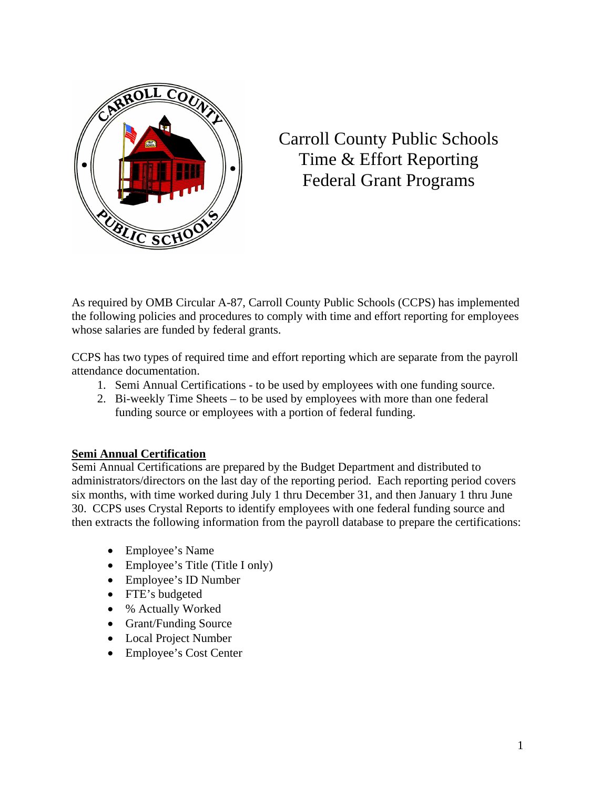

# Carroll County Public Schools Time & Effort Reporting Federal Grant Programs

As required by OMB Circular A-87, Carroll County Public Schools (CCPS) has implemented the following policies and procedures to comply with time and effort reporting for employees whose salaries are funded by federal grants.

CCPS has two types of required time and effort reporting which are separate from the payroll attendance documentation.

- 1. Semi Annual Certifications to be used by employees with one funding source.
- 2. Bi-weekly Time Sheets to be used by employees with more than one federal funding source or employees with a portion of federal funding.

## **Semi Annual Certification**

Semi Annual Certifications are prepared by the Budget Department and distributed to administrators/directors on the last day of the reporting period. Each reporting period covers six months, with time worked during July 1 thru December 31, and then January 1 thru June 30. CCPS uses Crystal Reports to identify employees with one federal funding source and then extracts the following information from the payroll database to prepare the certifications:

- Employee's Name
- Employee's Title (Title I only)
- Employee's ID Number
- FTE's budgeted
- % Actually Worked
- Grant/Funding Source
- Local Project Number
- Employee's Cost Center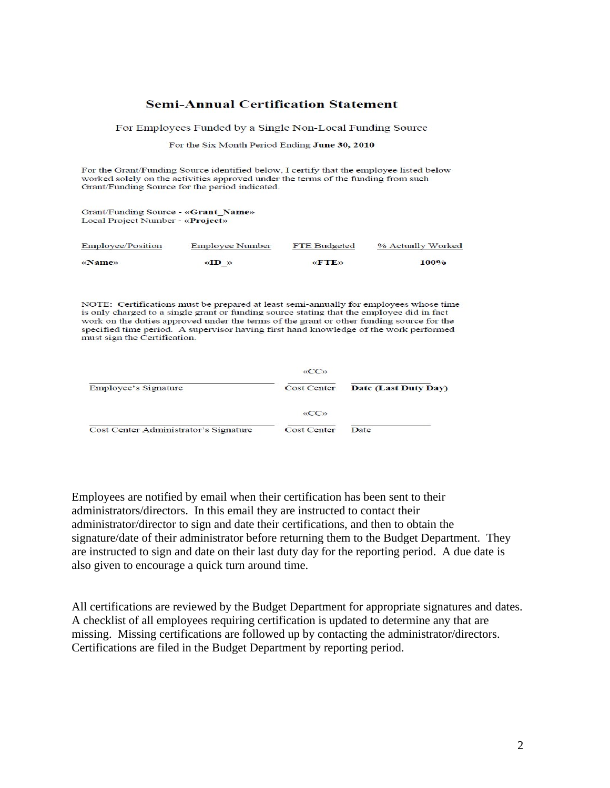#### **Semi-Annual Certification Statement**

For Employees Funded by a Single Non-Local Funding Source

For the Six Month Period Ending June 30, 2010

For the Grant/Funding Source identified below, I certify that the employee listed below worked solely on the activities approved under the terms of the funding from such Grant/Funding Source for the period indicated.

Grant/Funding Source - «Grant\_Name» Local Project Number - «Project»

| <b>Employee/Position</b> | Employee Number                             | FTE Budgeted | % Actually Worked |  |  |  |
|--------------------------|---------------------------------------------|--------------|-------------------|--|--|--|
| «Name»                   | $\langle \langle \text{ID} \rangle \rangle$ | <b>«FTE»</b> | 100%              |  |  |  |

NOTE: Certifications must be prepared at least semi-annually for employees whose time is only charged to a single grant or funding source stating that the employee did in fact work on the duties approved under the terms of the grant or other funding source for the specified time period. A supervisor having first hand knowledge of the work performed must sign the Certification.

|                                       | $\langle \langle CC \rangle \rangle$ |                      |
|---------------------------------------|--------------------------------------|----------------------|
| Employee's Signature                  | Cost Center                          | Date (Last Duty Day) |
|                                       | $\langle \langle CC \rangle \rangle$ |                      |
| Cost Center Administrator's Signature | Cost Center                          | Date                 |

Employees are notified by email when their certification has been sent to their administrators/directors. In this email they are instructed to contact their administrator/director to sign and date their certifications, and then to obtain the signature/date of their administrator before returning them to the Budget Department. They are instructed to sign and date on their last duty day for the reporting period. A due date is also given to encourage a quick turn around time.

All certifications are reviewed by the Budget Department for appropriate signatures and dates. A checklist of all employees requiring certification is updated to determine any that are missing. Missing certifications are followed up by contacting the administrator/directors. Certifications are filed in the Budget Department by reporting period.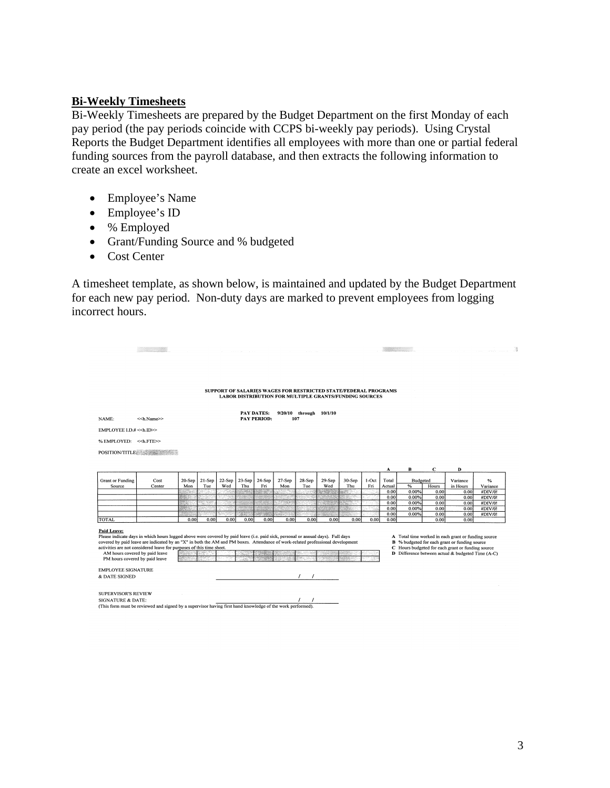### **Bi-Weekly Timesheets**

Bi-Weekly Timesheets are prepared by the Budget Department on the first Monday of each pay period (the pay periods coincide with CCPS bi-weekly pay periods). Using Crystal Reports the Budget Department identifies all employees with more than one or partial federal funding sources from the payroll database, and then extracts the following information to create an excel worksheet.

- Employee's Name
- Employee's ID
- % Employed
- Grant/Funding Source and % budgeted
- Cost Center

A timesheet template, as shown below, is maintained and updated by the Budget Department for each new pay period. Non-duty days are marked to prevent employees from logging incorrect hours.

## SUPPORT OF SALARIES WAGES FOR RESTRICTED STATE/FEDERAL PROGRAMS LABOR DISTRIBUTION FOR MULTIPLE GRANTS/FUNDING SOURCES

PAY DATES: 9/20/10 through 10/1/10<br>PAY PERIOD: 107

NAME:  $<<$ h.Name $>>$ EMPLOYEE I.D.# << h.ID>> % EMPLOYED: <<h.FTE>> POSITION/TITLE:

 $\begin{tabular}{ll} \multicolumn{3}{c} {\textbf{1}} & \multicolumn{3}{c} {\textbf{1}} & \multicolumn{3}{c} {\textbf{1}} \\ \multicolumn{3}{c} {\textbf{1}} & \multicolumn{3}{c} {\textbf{1}} & \multicolumn{3}{c} {\textbf{1}} \\ \multicolumn{3}{c} {\textbf{1}} & \multicolumn{3}{c} {\textbf{1}} & \multicolumn{3}{c} {\textbf{1}} \\ \multicolumn{3}{c} {\textbf{1}} & \multicolumn{3}{c} {\textbf{1}} & \multicolumn{3}{c} {\textbf{1}} \\ \multicolumn{3}{c} {\textbf{1}} & \multicolumn$ 

| <b>Grant or Funding</b> | Cost   |       | $20-Sep$   21-Sep |       |       | 22-Sep 23-Sep 24-Sep | $27-Sep$ | 28-Sep | $29-Sep$ | 30-Sep | $1-Oct$ | Total  | <b>Budgeted</b> |                   | Variance | %        |
|-------------------------|--------|-------|-------------------|-------|-------|----------------------|----------|--------|----------|--------|---------|--------|-----------------|-------------------|----------|----------|
| Source                  | Center | Mon   | Tue               | Wed   | Thu   | Fri                  | Mon      | Tue    | Wed      | Thu    | Fri     | Actual | %               | Hours             | in Hours | Variance |
|                         |        |       |                   |       |       |                      |          |        |          |        |         | 0.001  | 0.00%           | 0.001             | 0.00     | #DIV/0!  |
|                         |        |       |                   |       |       |                      |          |        |          |        |         | 0.001  | 0.00%           | 0.00 <sub>l</sub> | 0.00     | #DIV/0!  |
|                         |        |       |                   |       |       |                      |          |        |          |        |         | 0.001  | 0.00%           | 0.001             | 0.00     | #DIV/0!  |
|                         |        |       |                   |       |       |                      |          |        |          |        |         | 0.001  | 0.00%           | 0.001             | 0.00     | #DIV/0!  |
|                         |        |       |                   |       |       |                      |          |        |          |        |         | 0.001  | 0.00%           | 0.00              | 0.00     | #DIV/0!  |
| ITOTAL                  |        | 0.001 | 0.001             | 0.001 | 0.001 | 0.001                | 0.001    | 0.001  | 0.001    | 0.001  | 0.001   | 0.001  |                 | 0.00L             | 0.00     |          |

Paid Leave:

**Plane Lave:**<br>
Please indicate days in which hours logged above were covered by paid leave (i.e. paid sick, personal or annual days). Full days<br>
covered by paid leave are indicated by an "X" in both the AM and PM boxes. At AM hours covered by paid leave<br>PM hours covered by paid leave

- **A** Total time worked in each grant or funding source<br>**B**  $%$  budgeted for each grant or funding source<br>**C** Hours budgeted for each grant or funding source<br>**D** Difference between actual  $\&$  budgeted Time (A-C)
	-

EMPLOYEE SIGNATURE

& DATE SIGNED

SUPERVISOR'S REVIEW

SIGNATURE & DATE: (This form must be reviewed and signed by a supervisor having first hand knowledge of the work performed). **Service State**